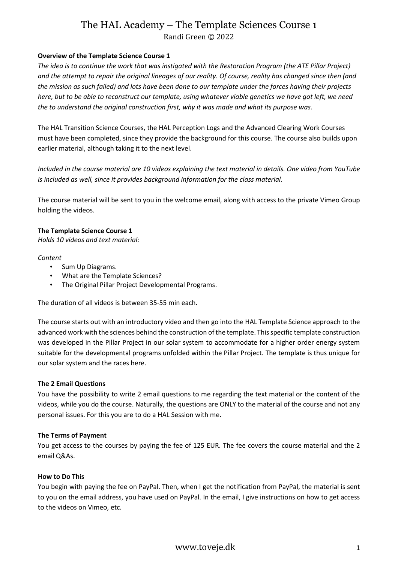# The HAL Academy – The Template Sciences Course 1 Randi Green © 2022

### **Overview of the Template Science Course 1**

*The idea is to continue the work that was instigated with the Restoration Program (the ATE Pillar Project) and the attempt to repair the original lineages of our reality. Of course, reality has changed since then (and the mission as such failed) and lots have been done to our template under the forces having their projects here, but to be able to reconstruct our template, using whatever viable genetics we have got left, we need the to understand the original construction first, why it was made and what its purpose was.* 

The HAL Transition Science Courses, the HAL Perception Logs and the Advanced Clearing Work Courses must have been completed, since they provide the background for this course. The course also builds upon earlier material, although taking it to the next level.

*Included in the course material are 10 videos explaining the text material in details. One video from YouTube is included as well, since it provides background information for the class material.*

The course material will be sent to you in the welcome email, along with access to the private Vimeo Group holding the videos.

#### **The Template Science Course 1**

*Holds 10 videos and text material:*

#### *Content*

- Sum Up Diagrams.
- What are the Template Sciences?
- The Original Pillar Project Developmental Programs.

The duration of all videos is between 35-55 min each.

The course starts out with an introductory video and then go into the HAL Template Science approach to the advanced work with the sciences behind the construction of the template. This specific template construction was developed in the Pillar Project in our solar system to accommodate for a higher order energy system suitable for the developmental programs unfolded within the Pillar Project. The template is thus unique for our solar system and the races here.

#### **The 2 Email Questions**

You have the possibility to write 2 email questions to me regarding the text material or the content of the videos, while you do the course. Naturally, the questions are ONLY to the material of the course and not any personal issues. For this you are to do a HAL Session with me.

### **The Terms of Payment**

You get access to the courses by paying the fee of 125 EUR. The fee covers the course material and the 2 email Q&As.

#### **How to Do This**

You begin with paying the fee on PayPal. Then, when I get the notification from PayPal, the material is sent to you on the email address, you have used on PayPal. In the email, I give instructions on how to get access to the videos on Vimeo, etc.